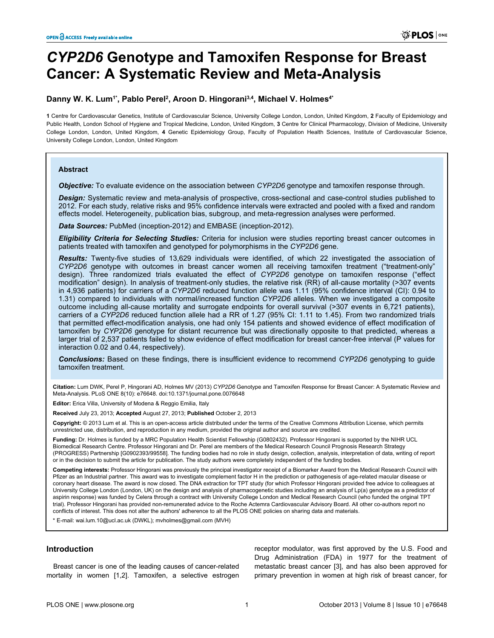# *CYP2D6* **Genotype and Tamoxifen Response for Breast Cancer: A Systematic Review and Meta-Analysis**

# **Danny W. K. Lum1\*, Pablo Perel<sup>2</sup> , Aroon D. Hingorani3,4, Michael V. Holmes4\***

**1** Centre for Cardiovascular Genetics, Institute of Cardiovascular Science, University College London, London, United Kingdom, **2** Faculty of Epidemiology and Public Health, London School of Hygiene and Tropical Medicine, London, United Kingdom, **3** Centre for Clinical Pharmacology, Division of Medicine, University College London, London, United Kingdom, **4** Genetic Epidemiology Group, Faculty of Population Health Sciences, Institute of Cardiovascular Science, University College London, London, United Kingdom

#### **Abstract**

*Objective:* To evaluate evidence on the association between *CYP2D6* genotype and tamoxifen response through.

*Design:* Systematic review and meta-analysis of prospective, cross-sectional and case-control studies published to 2012. For each study, relative risks and 95% confidence intervals were extracted and pooled with a fixed and random effects model. Heterogeneity, publication bias, subgroup, and meta-regression analyses were performed.

*Data Sources:* PubMed (inception-2012) and EMBASE (inception-2012).

*Eligibility Criteria for Selecting Studies:* Criteria for inclusion were studies reporting breast cancer outcomes in patients treated with tamoxifen and genotyped for polymorphisms in the *CYP2D6* gene.

*Results:* Twenty-five studies of 13,629 individuals were identified, of which 22 investigated the association of *CYP2D6* genotype with outcomes in breast cancer women all receiving tamoxifen treatment ("treatment-only" design). Three randomized trials evaluated the effect of *CYP2D6* genotype on tamoxifen response ("effect modification" design). In analysis of treatment-only studies, the relative risk (RR) of all-cause mortality (>307 events in 4,936 patients) for carriers of a *CYP2D6* reduced function allele was 1.11 (95% confidence interval (CI): 0.94 to 1.31) compared to individuals with normal/increased function *CYP2D6* alleles. When we investigated a composite outcome including all-cause mortality and surrogate endpoints for overall survival (>307 events in 6,721 patients), carriers of a *CYP2D6* reduced function allele had a RR of 1.27 (95% CI: 1.11 to 1.45). From two randomized trials that permitted effect-modification analysis, one had only 154 patients and showed evidence of effect modification of tamoxifen by *CYP2D6* genotype for distant recurrence but was directionally opposite to that predicted, whereas a larger trial of 2,537 patients failed to show evidence of effect modification for breast cancer-free interval (P values for interaction 0.02 and 0.44, respectively).

*Conclusions:* Based on these findings, there is insufficient evidence to recommend *CYP2D6* genotyping to guide tamoxifen treatment.

**Citation:** Lum DWK, Perel P, Hingorani AD, Holmes MV (2013) *CYP2D6* Genotype and Tamoxifen Response for Breast Cancer: A Systematic Review and Meta-Analysis. PLoS ONE 8(10): e76648. doi:10.1371/journal.pone.0076648

**Editor:** Erica Villa, University of Modena & Reggio Emilia, Italy

**Received** July 23, 2013; **Accepted** August 27, 2013; **Published** October 2, 2013

**Copyright:** © 2013 Lum et al. This is an open-access article distributed under the terms of the Creative Commons Attribution License, which permits unrestricted use, distribution, and reproduction in any medium, provided the original author and source are credited.

**Funding:** Dr. Holmes is funded by a MRC Population Health Scientist Fellowship (G0802432). Professor Hingorani is supported by the NIHR UCL Biomedical Research Centre. Professor Hingorani and Dr. Perel are members of the Medical Research Council Prognosis Research Strategy (PROGRESS) Partnership [G0902393/99558]. The funding bodies had no role in study design, collection, analysis, interpretation of data, writing of report or in the decision to submit the article for publication. The study authors were completely independent of the funding bodies.

**Competing interests:** Professor Hingorani was previously the principal investigator receipt of a Biomarker Award from the Medical Research Council with Pfizer as an Industrial partner. This award was to investigate complement factor H in the prediction or pathogenesis of age-related macular disease or coronary heart disease. The award is now closed. The DNA extraction for TPT study (for which Professor Hingorani provided free advice to colleagues at University College London (London, UK) on the design and analysis of pharmacogenetic studies including an analysis of Lp(a) genotype as a predictor of aspirin response) was funded by Celera through a contract with University College London and Medical Research Council (who funded the original TPT trial). Professor Hingorani has provided non-remunerated advice to the Roche Actemra Cardiovascular Advisory Board. All other co-authors report no conflicts of interest. This does not alter the authors' adherence to all the PLOS ONE policies on sharing data and materials.

\* E-mail: wai.lum.10@ucl.ac.uk (DWKL); mvholmes@gmail.com (MVH)

## **Introduction**

Breast cancer is one of the leading causes of cancer-related mortality in women [[1](#page-9-0),[2](#page-9-0)]. Tamoxifen, a selective estrogen receptor modulator, was first approved by the U.S. Food and Drug Administration (FDA) in 1977 for the treatment of metastatic breast cancer [\[3\]](#page-9-0), and has also been approved for primary prevention in women at high risk of breast cancer, for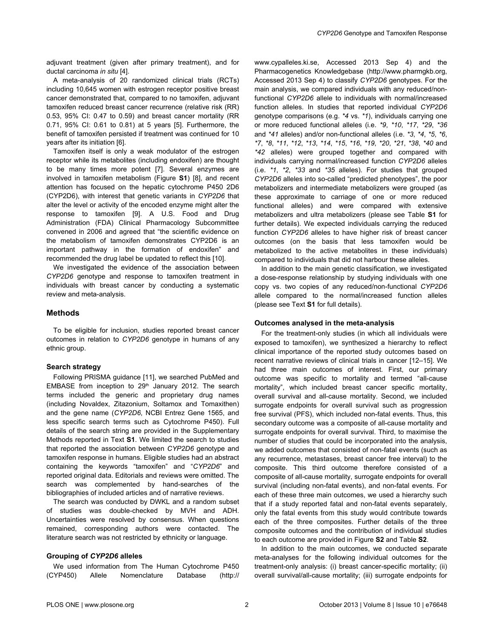adjuvant treatment (given after primary treatment), and for ductal carcinoma *in situ* [\[4\]](#page-9-0).

A meta-analysis of 20 randomized clinical trials (RCTs) including 10,645 women with estrogen receptor positive breast cancer demonstrated that, compared to no tamoxifen, adjuvant tamoxifen reduced breast cancer recurrence (relative risk (RR) 0.53, 95% CI: 0.47 to 0.59) and breast cancer mortality (RR 0.71, 95% CI: 0.61 to 0.81) at 5 years [\[5\]](#page-9-0). Furthermore, the benefit of tamoxifen persisted if treatment was continued for 10 years after its initiation [[6\]](#page-9-0).

Tamoxifen itself is only a weak modulator of the estrogen receptor while its metabolites (including endoxifen) are thought to be many times more potent [[7\]](#page-9-0). Several enzymes are involved in tamoxifen metabolism [\(Figure](#page-8-0) **S1**) [\[8](#page-9-0)], and recent attention has focused on the hepatic cytochrome P450 2D6 (CYP2D6), with interest that genetic variants in *CYP2D6* that alter the level or activity of the encoded enzyme might alter the response to tamoxifen [[9](#page-9-0)]. A U.S. Food and Drug Administration (FDA) Clinical Pharmacology Subcommittee convened in 2006 and agreed that "the scientific evidence on the metabolism of tamoxifen demonstrates CYP2D6 is an important pathway in the formation of endoxifen" and recommended the drug label be updated to reflect this [[10](#page-9-0)].

We investigated the evidence of the association between *CYP2D6* genotype and response to tamoxifen treatment in individuals with breast cancer by conducting a systematic review and meta-analysis.

## **Methods**

To be eligible for inclusion, studies reported breast cancer outcomes in relation to *CYP2D6* genotype in humans of any ethnic group.

#### **Search strategy**

Following PRISMA guidance [[11](#page-9-0)], we searched PubMed and EMBASE from inception to 29<sup>th</sup> January 2012. The search terms included the generic and proprietary drug names (including Novaldex, Zitazonium, Soltamox and Tomaxithen) and the gene name (*CYP2D6*, NCBI Entrez Gene 1565, and less specific search terms such as Cytochrome P450). Full details of the search string are provided in the Supplementary Methods reported in [Text](#page-8-0) **S1**. We limited the search to studies that reported the association between *CYP2D6* genotype and tamoxifen response in humans. Eligible studies had an abstract containing the keywords "tamoxifen" and "*CYP2D6*" and reported original data. Editorials and reviews were omitted. The search was complemented by hand-searches of the bibliographies of included articles and of narrative reviews.

The search was conducted by DWKL and a random subset of studies was double-checked by MVH and ADH. Uncertainties were resolved by consensus. When questions remained, corresponding authors were contacted. The literature search was not restricted by ethnicity or language.

#### **Grouping of** *CYP2D6* **alleles**

We used information from The Human Cytochrome P450 (CYP450) Allele Nomenclature Database (http:// www.cypalleles.ki.se, Accessed 2013 Sep 4) and the Pharmacogenetics Knowledgebase (http://www.pharmgkb.org, Accessed 2013 Sep 4) to classify *CYP2D6* genotypes. For the main analysis, we compared individuals with any reduced/nonfunctional *CYP2D6* allele to individuals with normal/increased function alleles. In studies that reported individual *CYP2D6* genotype comparisons (e.g. *\*4* vs. *\*1*), individuals carrying one or more reduced functional alleles (i.e. *\*9*, *\*10*, *\*17*, *\*29*, *\*36* and *\*41* alleles) and/or non-functional alleles (i.e. *\*3*, *\*4*, *\*5*, *\*6*, *\*7*, *\*8*, *\*11*, *\*12*, *\*13*, *\*14*, *\*15*, *\*16*, *\*19*, *\*20*, *\*21*, *\*38*, *\*40* and *\*42* alleles) were grouped together and compared with individuals carrying normal/increased function *CYP2D6* alleles (i.e. *\*1*, *\*2*, *\*33* and *\*35* alleles). For studies that grouped *CYP2D6* alleles into so-called "predicted phenotypes", the poor metabolizers and intermediate metabolizers were grouped (as these approximate to carriage of one or more reduced functional alleles) and were compared with extensive metabolizers and ultra metabolizers (please see [Table](#page-8-0) **S1** for further details). We expected individuals carrying the reduced function *CYP2D6* alleles to have higher risk of breast cancer outcomes (on the basis that less tamoxifen would be metabolized to the active metabolites in these individuals) compared to individuals that did not harbour these alleles.

In addition to the main genetic classification, we investigated a dose-response relationship by studying individuals with one copy vs. two copies of any reduced/non-functional *CYP2D6* allele compared to the normal/increased function alleles (please see [Text](#page-8-0) **S1** for full details).

#### **Outcomes analysed in the meta-analysis**

For the treatment-only studies (in which all individuals were exposed to tamoxifen), we synthesized a hierarchy to reflect clinical importance of the reported study outcomes based on recent narrative reviews of clinical trials in cancer [\[12](#page-9-0)[–15\]](#page-10-0). We had three main outcomes of interest. First, our primary outcome was specific to mortality and termed "all-cause mortality", which included breast cancer specific mortality, overall survival and all-cause mortality. Second, we included surrogate endpoints for overall survival such as progression free survival (PFS), which included non-fatal events. Thus, this secondary outcome was a composite of all-cause mortality and surrogate endpoints for overall survival. Third, to maximise the number of studies that could be incorporated into the analysis, we added outcomes that consisted of non-fatal events (such as any recurrence, metastases, breast cancer free interval) to the composite. This third outcome therefore consisted of a composite of all-cause mortality, surrogate endpoints for overall survival (including non-fatal events), and non-fatal events. For each of these three main outcomes, we used a hierarchy such that if a study reported fatal and non-fatal events separately, only the fatal events from this study would contribute towards each of the three composites. Further details of the three composite outcomes and the contribution of individual studies to each outcome are provided in [Figure](#page-9-0) **S2** and [Table](#page-8-0) **S2**.

In addition to the main outcomes, we conducted separate meta-analyses for the following individual outcomes for the treatment-only analysis: (i) breast cancer-specific mortality; (ii) overall survival/all-cause mortality; (iii) surrogate endpoints for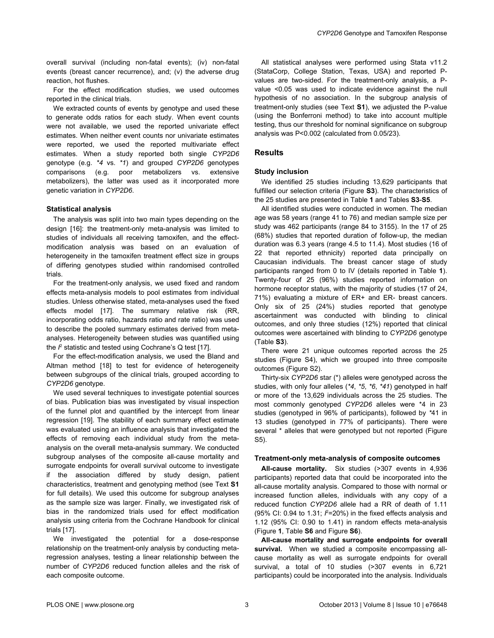overall survival (including non-fatal events); (iv) non-fatal events (breast cancer recurrence), and; (v) the adverse drug reaction, hot flushes.

For the effect modification studies, we used outcomes reported in the clinical trials.

We extracted counts of events by genotype and used these to generate odds ratios for each study. When event counts were not available, we used the reported univariate effect estimates. When neither event counts nor univariate estimates were reported, we used the reported multivariate effect estimates. When a study reported both single *CYP2D6* genotype (e.g. *\*4* vs. *\*1*) and grouped *CYP2D6* genotypes comparisons (e.g. poor metabolizers vs. extensive metabolizers), the latter was used as it incorporated more genetic variation in *CYP2D6*.

#### **Statistical analysis**

The analysis was split into two main types depending on the design [[16](#page-10-0)]: the treatment-only meta-analysis was limited to studies of individuals all receiving tamoxifen, and the effectmodification analysis was based on an evaluation of heterogeneity in the tamoxifen treatment effect size in groups of differing genotypes studied within randomised controlled trials.

For the treatment-only analysis, we used fixed and random effects meta-analysis models to pool estimates from individual studies. Unless otherwise stated, meta-analyses used the fixed effects model [\[17\]](#page-10-0). The summary relative risk (RR, incorporating odds ratio, hazards ratio and rate ratio) was used to describe the pooled summary estimates derived from metaanalyses. Heterogeneity between studies was quantified using the  $\beta$  statistic and tested using Cochrane's Q test [[17\]](#page-10-0).

For the effect-modification analysis, we used the Bland and Altman method [\[18\]](#page-10-0) to test for evidence of heterogeneity between subgroups of the clinical trials, grouped according to *CYP2D6* genotype.

We used several techniques to investigate potential sources of bias. Publication bias was investigated by visual inspection of the funnel plot and quantified by the intercept from linear regression [[19](#page-10-0)]. The stability of each summary effect estimate was evaluated using an influence analysis that investigated the effects of removing each individual study from the metaanalysis on the overall meta-analysis summary. We conducted subgroup analyses of the composite all-cause mortality and surrogate endpoints for overall survival outcome to investigate if the association differed by study design, patient characteristics, treatment and genotyping method (see [Text](#page-8-0) **S1** for full details). We used this outcome for subgroup analyses as the sample size was larger. Finally, we investigated risk of bias in the randomized trials used for effect modification analysis using criteria from the Cochrane Handbook for clinical trials [\[17\]](#page-10-0).

We investigated the potential for a dose-response relationship on the treatment-only analysis by conducting metaregression analyses, testing a linear relationship between the number of *CYP2D6* reduced function alleles and the risk of each composite outcome.

All statistical analyses were performed using Stata v11.2 (StataCorp, College Station, Texas, USA) and reported Pvalues are two-sided. For the treatment-only analysis, a Pvalue <0.05 was used to indicate evidence against the null hypothesis of no association. In the subgroup analysis of treatment-only studies (see [Text](#page-8-0) **S1**), we adjusted the P-value (using the Bonferroni method) to take into account multiple testing, thus our threshold for nominal significance on subgroup analysis was P<0.002 (calculated from 0.05/23).

#### **Results**

#### **Study inclusion**

We identified 25 studies including 13,629 participants that fulfilled our selection criteria [\(Figure](#page-9-0) **S3**). The characteristics of the 25 studies are presented in [Table](#page-3-0) **1** and [Tables](#page-8-0) **S3**-**S5**.

All identified studies were conducted in women. The median age was 58 years (range 41 to 76) and median sample size per study was 462 participants (range 84 to 3155). In the 17 of 25 (68%) studies that reported duration of follow-up, the median duration was 6.3 years (range 4.5 to 11.4). Most studies (16 of 22 that reported ethnicity) reported data principally on Caucasian individuals. The breast cancer stage of study participants ranged from 0 to IV (details reported in [Table](#page-3-0) **1**). Twenty-four of 25 (96%) studies reported information on hormone receptor status, with the majority of studies (17 of 24, 71%) evaluating a mixture of ER+ and ER- breast cancers. Only six of 25 (24%) studies reported that genotype ascertainment was conducted with blinding to clinical outcomes, and only three studies (12%) reported that clinical outcomes were ascertained with blinding to *CYP2D6* genotype [\(Table](#page-8-0) **S3**).

There were 21 unique outcomes reported across the 25 studies [\(Figure S4](#page-9-0)), which we grouped into three composite outcomes ([Figure S2](#page-9-0)).

Thirty-six *CYP2D6* star (\*) alleles were genotyped across the studies, with only four alleles (*\*4*, *\*5*, *\*6*, *\*41*) genotyped in half or more of the 13,629 individuals across the 25 studies. The most commonly genotyped *CYP2D6* alleles were \*4 in 23 studies (genotyped in 96% of participants), followed by *\**41 in 13 studies (genotyped in 77% of participants). There were several \* alleles that were genotyped but not reported [\(Figure](#page-9-0) [S5\)](#page-9-0).

#### **Treatment-only meta-analysis of composite outcomes**

**All-cause mortality.** Six studies (>307 events in 4,936 participants) reported data that could be incorporated into the all-cause mortality analysis. Compared to those with normal or increased function alleles, individuals with any copy of a reduced function *CYP2D6* allele had a RR of death of 1.11 (95% CI: 0.94 to 1.31; *I* <sup>2</sup>=20%) in the fixed effects analysis and 1.12 (95% CI: 0.90 to 1.41) in random effects meta-analysis [\(Figure](#page-5-0) **1**, [Table](#page-8-0) **S6** and [Figure](#page-9-0) **S6**).

**All-cause mortality and surrogate endpoints for overall survival.** When we studied a composite encompassing allcause mortality as well as surrogate endpoints for overall survival, a total of 10 studies (>307 events in 6,721 participants) could be incorporated into the analysis. Individuals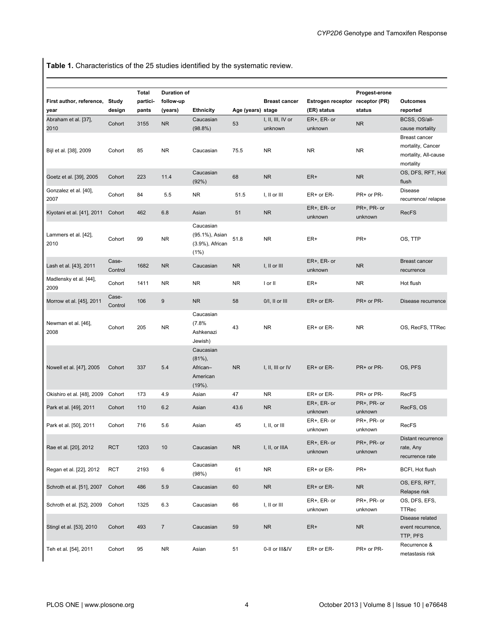<span id="page-3-0"></span>**Table 1.** Characteristics of the 25 studies identified by the systematic review.

| First author, reference,<br>year | Study<br>design  | <b>Total</b><br>partici-<br>pants | <b>Duration of</b><br>follow-up<br>(years) | <b>Ethnicity</b>                                        | Age (years) stage | <b>Breast cancer</b>         | Estrogen receptor receptor (PR)<br>(ER) status | Progest-erone<br>status | Outcomes<br>reported                                                           |
|----------------------------------|------------------|-----------------------------------|--------------------------------------------|---------------------------------------------------------|-------------------|------------------------------|------------------------------------------------|-------------------------|--------------------------------------------------------------------------------|
| Abraham et al. [37],<br>2010     | Cohort           | 3155                              | <b>NR</b>                                  | Caucasian<br>$(98.8\%)$                                 | 53                | I, II, III, IV or<br>unknown | $ER+$ , $ER-$ or<br>unknown                    | <b>NR</b>               | BCSS, OS/all-<br>cause mortality                                               |
| Bijl et al. [38], 2009           | Cohort           | 85                                | <b>NR</b>                                  | Caucasian                                               | 75.5              | <b>NR</b>                    | <b>NR</b>                                      | <b>NR</b>               | <b>Breast cancer</b><br>mortality, Cancer<br>mortality, All-cause<br>mortality |
| Goetz et al. [39], 2005          | Cohort           | 223                               | 11.4                                       | Caucasian<br>(92%)                                      | 68                | <b>NR</b>                    | ER+                                            | <b>NR</b>               | OS, DFS, RFT, Hot<br>flush                                                     |
| Gonzalez et al. [40],<br>2007    | Cohort           | 84                                | 5.5                                        | <b>NR</b>                                               | 51.5              | I, II or III                 | ER+ or ER-                                     | PR+ or PR-              | <b>Disease</b><br>recurrence/ relapse                                          |
| Kiyotani et al. [41], 2011       | Cohort           | 462                               | 6.8                                        | Asian                                                   | 51                | <b>NR</b>                    | $ER+$ , $ER-$ or<br>unknown                    | PR+, PR- or<br>unknown  | <b>RecFS</b>                                                                   |
| Lammers et al. [42],<br>2010     | Cohort           | 99                                | <b>NR</b>                                  | Caucasian<br>(95.1%), Asian<br>(3.9%), African<br>(1%)  | 51.8              | <b>NR</b>                    | ER+                                            | PR+                     | OS, TTP                                                                        |
| Lash et al. [43], 2011           | Case-<br>Control | 1682                              | <b>NR</b>                                  | Caucasian                                               | <b>NR</b>         | I, II or III                 | $ER+$ , $ER-$ or<br>unknown                    | <b>NR</b>               | <b>Breast cancer</b><br>recurrence                                             |
| Madlensky et al. [44],<br>2009   | Cohort           | 1411                              | <b>NR</b>                                  | <b>NR</b>                                               | <b>NR</b>         | I or II                      | ER+                                            | <b>NR</b>               | Hot flush                                                                      |
| Morrow et al. [45], 2011         | Case-<br>Control | 106                               | 9                                          | <b>NR</b>                                               | 58                | 0/I, II or III               | ER+ or ER-                                     | PR+ or PR-              | Disease recurrence                                                             |
| Newman et al. [46],<br>2008      | Cohort           | 205                               | <b>NR</b>                                  | Caucasian<br>(7.8%<br>Ashkenazi<br>Jewish)              | 43                | <b>NR</b>                    | ER+ or ER-                                     | <b>NR</b>               | OS, RecFS, TTRec                                                               |
| Nowell et al. [47], 2005         | Cohort           | 337                               | 5.4                                        | Caucasian<br>$(81\%)$<br>African-<br>American<br>(19%). | <b>NR</b>         | $I, II, III$ or IV           | ER+ or ER-                                     | PR+ or PR-              | OS, PFS                                                                        |
| Okishiro et al. [48], 2009       | Cohort           | 173                               | 4.9                                        | Asian                                                   | 47                | <b>NR</b>                    | ER+ or ER-                                     | PR+ or PR-              | <b>RecFS</b>                                                                   |
| Park et al. [49], 2011           | Cohort           | 110                               | 6.2                                        | Asian                                                   | 43.6              | <b>NR</b>                    | $ER+$ , $ER-$ or<br>unknown                    | PR+, PR- or<br>unknown  | RecFS, OS                                                                      |
| Park et al. [50], 2011           | Cohort           | 716                               | 5.6                                        | Asian                                                   | 45                | I, II, or III                | ER+, ER- or<br>unknown                         | PR+, PR- or<br>unknown  | <b>RecFS</b>                                                                   |
| Rae et al. [20], 2012            | <b>RCT</b>       | 1203                              | 10                                         | Caucasian                                               | <b>NR</b>         | I, II, or IIIA               | ER+, ER- or<br>unknown                         | PR+, PR- or<br>unknown  | Distant recurrence<br>rate, Any<br>recurrence rate                             |
| Regan et al. [22], 2012          | <b>RCT</b>       | 2193                              | $\,6\,$                                    | Caucasian<br>(98%)                                      | 61                | <b>NR</b>                    | ER+ or ER-                                     | PR+                     | BCFI, Hot flush                                                                |
| Schroth et al. [51], 2007        | Cohort           | 486                               | 5.9                                        | Caucasian                                               | 60                | <b>NR</b>                    | ER+ or ER-                                     | <b>NR</b>               | OS, EFS, RFT,<br>Relapse risk                                                  |
| Schroth et al. [52], 2009        | Cohort           | 1325                              | 6.3                                        | Caucasian                                               | 66                | I, II or III                 | ER+, ER- or<br>unknown                         | PR+, PR- or<br>unknown  | OS, DFS, EFS,<br><b>TTRec</b>                                                  |
| Stingl et al. [53], 2010         | Cohort           | 493                               | $\overline{7}$                             | Caucasian                                               | 59                | <b>NR</b>                    | ER+                                            | <b>NR</b>               | Disease related<br>event recurrence,<br>TTP, PFS                               |
| Teh et al. [54], 2011            | Cohort           | 95                                | <b>NR</b>                                  | Asian                                                   | 51                | 0-II or III&IV               | ER+ or ER-                                     | PR+ or PR-              | Recurrence &<br>metastasis risk                                                |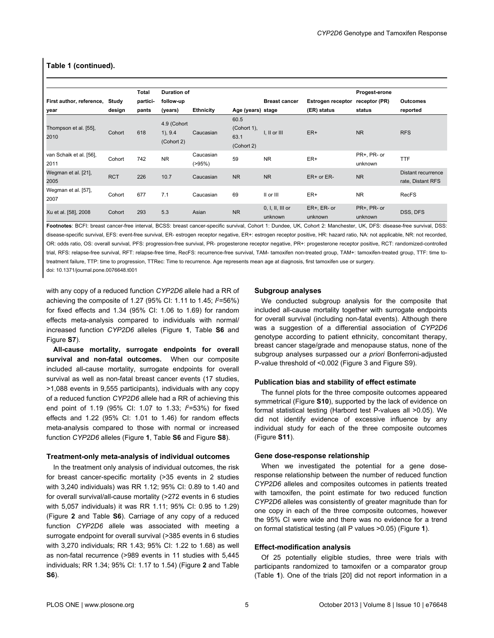# **Table 1 (continued).**

|                          |            | Total    | <b>Duration of</b>    |                  |                   |                      |                          | Progest-erone |                    |
|--------------------------|------------|----------|-----------------------|------------------|-------------------|----------------------|--------------------------|---------------|--------------------|
| First author, reference, | Study      | partici- | follow-up             |                  |                   | <b>Breast cancer</b> | <b>Estrogen receptor</b> | receptor (PR) | Outcomes           |
| year                     | design     | pants    | (years)               | <b>Ethnicity</b> | Age (years) stage |                      | (ER) status              | status        | reported           |
|                          |            |          | 4.9 (Cohort           |                  | 60.5              |                      |                          |               |                    |
| Thompson et al. [55],    | Cohort     | 618      |                       | Caucasian        | (Cohort 1),       | I. II or III         | ER+                      | <b>NR</b>     | <b>RFS</b>         |
| 2010                     |            |          | 1), 9.4<br>(Cohort 2) |                  | 63.1              |                      |                          |               |                    |
|                          |            |          |                       |                  | (Cohort 2)        |                      |                          |               |                    |
| van Schaik et al. [56],  | Cohort     | 742      | <b>NR</b>             | Caucasian        | 59                | <b>NR</b>            | ER+                      | PR+, PR- or   | <b>TTF</b>         |
| 2011                     |            |          |                       | $( > 95\%)$      |                   |                      |                          | unknown       |                    |
| Wegman et al. [21],      | <b>RCT</b> | 226      |                       |                  | <b>NR</b>         |                      |                          |               | Distant recurrence |
| 2005                     |            |          | 10.7                  | Caucasian        |                   | <b>NR</b>            | $ER+$ or $ER-$           | <b>NR</b>     | rate, Distant RFS  |
| Wegman et al. [57],      | Cohort     | 677      | 7.1                   |                  | 69                | II or III            | ER+                      | <b>NR</b>     | <b>RecFS</b>       |
| 2007                     |            |          |                       | Caucasian        |                   |                      |                          |               |                    |
| Xu et al. [58], 2008     | Cohort     | 293      | 5.3                   | Asian            | <b>NR</b>         | $0, I, II, III$ or   | ER+, ER- or              | PR+, PR- or   |                    |
|                          |            |          |                       |                  |                   | unknown              | unknown                  | unknown       | DSS, DFS           |

**Footnotes**: BCFI: breast cancer-free interval, BCSS: breast cancer-specific survival, Cohort 1: Dundee, UK, Cohort 2: Manchester, UK, DFS: disease-free survival, DSS: disease-specific survival, EFS: event-free survival, ER- estrogen receptor negative, ER+: estrogen receptor positive, HR: hazard ratio, NA: not applicable, NR: not recorded, OR: odds ratio, OS: overall survival, PFS: progression-free survival, PR- progesterone receptor negative, PR+: progesterone receptor positive, RCT: randomized-controlled trial, RFS: relapse-free survival, RFT: relapse-free time, RecFS: recurrence-free survival, TAM- tamoxifen non-treated group, TAM+: tamoxifen-treated group, TTF: time totreatment failure, TTP: time to progression, TTRec: Time to recurrence. Age represents mean age at diagnosis, first tamoxifen use or surgery.

doi: 10.1371/journal.pone.0076648.t001

with any copy of a reduced function *CYP2D6* allele had a RR of achieving the composite of 1.27 (95% CI: 1.11 to 1.45; *I* <sup>2</sup>=56%) for fixed effects and 1.34 (95% CI: 1.06 to 1.69) for random effects meta-analysis compared to individuals with normal/ increased function *CYP2D6* alleles ([Figure](#page-5-0) **1**, [Table](#page-8-0) **S6** and [Figure](#page-9-0) **S7**).

**All-cause mortality, surrogate endpoints for overall survival and non-fatal outcomes.** When our composite included all-cause mortality, surrogate endpoints for overall survival as well as non-fatal breast cancer events (17 studies, >1,088 events in 9,555 participants), individuals with any copy of a reduced function *CYP2D6* allele had a RR of achieving this end point of 1.19 (95% CI: 1.07 to 1.33; *I* <sup>2</sup>=53%) for fixed effects and 1.22 (95% CI: 1.01 to 1.46) for random effects meta-analysis compared to those with normal or increased function *CYP2D6* alleles [\(Figure](#page-5-0) **1**, [Table](#page-8-0) **S6** and [Figure](#page-9-0) **S8**).

#### **Treatment-only meta-analysis of individual outcomes**

In the treatment only analysis of individual outcomes, the risk for breast cancer-specific mortality (>35 events in 2 studies with 3,240 individuals) was RR 1.12; 95% CI: 0.89 to 1.40 and for overall survival/all-cause mortality (>272 events in 6 studies with 5,057 individuals) it was RR 1.11; 95% CI: 0.95 to 1.29) [\(Figure](#page-6-0) **2** and [Table](#page-8-0) **S6**). Carriage of any copy of a reduced function *CYP2D6* allele was associated with meeting a surrogate endpoint for overall survival (>385 events in 6 studies with 3,270 individuals; RR 1.43; 95% CI: 1.22 to 1.68) as well as non-fatal recurrence (>989 events in 11 studies with 5,445 individuals; RR 1.34; 95% CI: 1.17 to 1.54) ([Figure](#page-6-0) **2** and [Table](#page-8-0) **[S6](#page-8-0)**).

#### **Subgroup analyses**

We conducted subgroup analysis for the composite that included all-cause mortality together with surrogate endpoints for overall survival (including non-fatal events). Although there was a suggestion of a differential association of *CYP2D6* genotype according to patient ethnicity, concomitant therapy, breast cancer stage/grade and menopause status, none of the subgroup analyses surpassed our *a priori* Bonferroni-adjusted P-value threshold of <0.002 ([Figure 3](#page-7-0) and [Figure S9\)](#page-9-0).

#### **Publication bias and stability of effect estimate**

The funnel plots for the three composite outcomes appeared symmetrical [\(Figure](#page-9-0) **S10**), supported by the lack of evidence on formal statistical testing (Harbord test P-values all >0.05). We did not identify evidence of excessive influence by any individual study for each of the three composite outcomes [\(Figure](#page-9-0) **S11**).

#### **Gene dose-response relationship**

When we investigated the potential for a gene doseresponse relationship between the number of reduced function *CYP2D6* alleles and composites outcomes in patients treated with tamoxifen, the point estimate for two reduced function *CYP2D6* alleles was consistently of greater magnitude than for one copy in each of the three composite outcomes, however the 95% CI were wide and there was no evidence for a trend on formal statistical testing (all P values >0.05) [\(Figure](#page-5-0) **1**).

#### **Effect-modification analysis**

Of 25 potentially eligible studies, three were trials with participants randomized to tamoxifen or a comparator group [\(Table](#page-3-0) **1**). One of the trials [\[20\]](#page-10-0) did not report information in a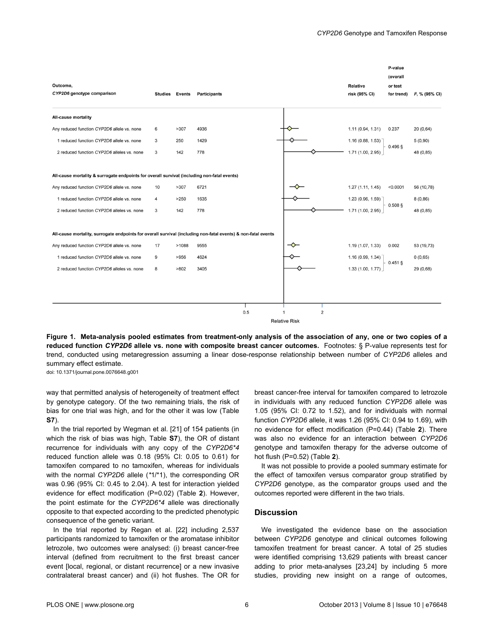<span id="page-5-0"></span>

|                                                                                                               |    |                       |                     |                      |                                  | P-value<br>(overall   |                  |
|---------------------------------------------------------------------------------------------------------------|----|-----------------------|---------------------|----------------------|----------------------------------|-----------------------|------------------|
| Outcome,<br>CYP2D6 genotype comparison                                                                        |    | <b>Studies Events</b> | <b>Participants</b> |                      | <b>Relative</b><br>risk (95% CI) | or test<br>for trend) | $P, \%$ (95% CI) |
| All-cause mortality                                                                                           |    |                       |                     |                      |                                  |                       |                  |
| Any reduced function CYP2D6 allele vs. none                                                                   | 6  | >307                  | 4936                |                      | 1.11(0.94, 1.31)                 | 0.237                 | 20(0,64)         |
| 1 reduced function CYP2D6 allele vs. none                                                                     | 3  | 250                   | 1429                |                      | 1.16(0.88, 1.53)                 |                       | 5(0,90)          |
| 2 reduced function CYP2D6 alleles vs. none                                                                    | 3  | 142                   | 778                 |                      | 1.71 (1.00, 2.95)                | $0.496$ §             | 48 (0,85)        |
|                                                                                                               |    |                       |                     |                      |                                  |                       |                  |
| All-cause mortality & surrogate endpoints for overall survival (including non-fatal events)                   |    |                       |                     |                      |                                  |                       |                  |
| Any reduced function CYP2D6 allele vs. none                                                                   | 10 | >307                  | 6721                |                      | 1.27(1.11, 1.45)                 | < 0.0001              | 56 (10,78)       |
| 1 reduced function CYP2D6 allele vs. none                                                                     | 4  | >250                  | 1635                |                      | 1.23 (0.96, 1.59)                |                       | 8(0, 86)         |
| 2 reduced function CYP2D6 alleles vs. none                                                                    | 3  | 142                   | 778                 |                      | 1.71(1.00, 2.95)                 | $0.508$ §             | 48 (0,85)        |
|                                                                                                               |    |                       |                     |                      |                                  |                       |                  |
| All-cause mortality, surrogate endpoints for overall survival (including non-fatal events) & non-fatal events |    |                       |                     |                      |                                  |                       |                  |
| Any reduced function CYP2D6 allele vs. none                                                                   | 17 | >1088                 | 9555                |                      | 1.19 (1.07, 1.33)                | 0.002                 | 53 (19,73)       |
| 1 reduced function CYP2D6 allele vs. none                                                                     | 9  | >956                  | 4624                |                      | 1.16 (0.99, 1.34)                |                       | 0(0,65)          |
| 2 reduced function CYP2D6 alleles vs. none                                                                    | 8  | >802                  | 3405                |                      | 1.33(1.00, 1.77)                 | $0.451$ §             | 29 (0,68)        |
|                                                                                                               |    |                       |                     |                      |                                  |                       |                  |
|                                                                                                               |    |                       |                     |                      |                                  |                       |                  |
|                                                                                                               |    |                       |                     |                      |                                  |                       |                  |
|                                                                                                               |    |                       | 0.5                 | $\overline{2}$<br>1  |                                  |                       |                  |
|                                                                                                               |    |                       |                     | <b>Relative Risk</b> |                                  |                       |                  |

**Figure 1. Meta-analysis pooled estimates from treatment-only analysis of the association of any, one or two copies of a reduced function** *CYP2D6* **allele vs. none with composite breast cancer outcomes.** Footnotes: § P-value represents test for trend, conducted using metaregression assuming a linear dose-response relationship between number of *CYP2D6* alleles and summary effect estimate.

doi: 10.1371/journal.pone.0076648.g001

way that permitted analysis of heterogeneity of treatment effect by genotype category. Of the two remaining trials, the risk of bias for one trial was high, and for the other it was low [\(Table](#page-8-0) **[S7](#page-8-0)**).

In the trial reported by Wegman et al. [\[21\]](#page-10-0) of 154 patients (in which the risk of bias was high, [Table](#page-8-0) **S7**), the OR of distant recurrence for individuals with any copy of the *CYP2D6\*4* reduced function allele was 0.18 (95% CI: 0.05 to 0.61) for tamoxifen compared to no tamoxifen, whereas for individuals with the normal *CYP2D6* allele (*\**1/\*1), the corresponding OR was 0.96 (95% CI: 0.45 to 2.04). A test for interaction yielded evidence for effect modification (P=0.02) ([Table](#page-8-0) **2**). However, the point estimate for the *CYP2D6\*4* allele was directionally opposite to that expected according to the predicted phenotypic consequence of the genetic variant.

In the trial reported by Regan et al. [\[22\]](#page-10-0) including 2,537 participants randomized to tamoxifen or the aromatase inhibitor letrozole, two outcomes were analysed: (i) breast cancer-free interval (defined from recruitment to the first breast cancer event [local, regional, or distant recurrence] or a new invasive contralateral breast cancer) and (ii) hot flushes. The OR for

breast cancer-free interval for tamoxifen compared to letrozole in individuals with any reduced function *CYP2D6* allele was 1.05 (95% CI: 0.72 to 1.52), and for individuals with normal function *CYP2D6* allele, it was 1.26 (95% CI: 0.94 to 1.69), with no evidence for effect modification (P=0.44) [\(Table](#page-8-0) **2**). There was also no evidence for an interaction between *CYP2D6* genotype and tamoxifen therapy for the adverse outcome of hot flush (P=0.52) [\(Table](#page-8-0) **2**).

It was not possible to provide a pooled summary estimate for the effect of tamoxifen versus comparator group stratified by *CYP2D6* genotype, as the comparator groups used and the outcomes reported were different in the two trials.

### **Discussion**

We investigated the evidence base on the association between *CYP2D6* genotype and clinical outcomes following tamoxifen treatment for breast cancer. A total of 25 studies were identified comprising 13,629 patients with breast cancer adding to prior meta-analyses [\[23,24\]](#page-10-0) by including 5 more studies, providing new insight on a range of outcomes,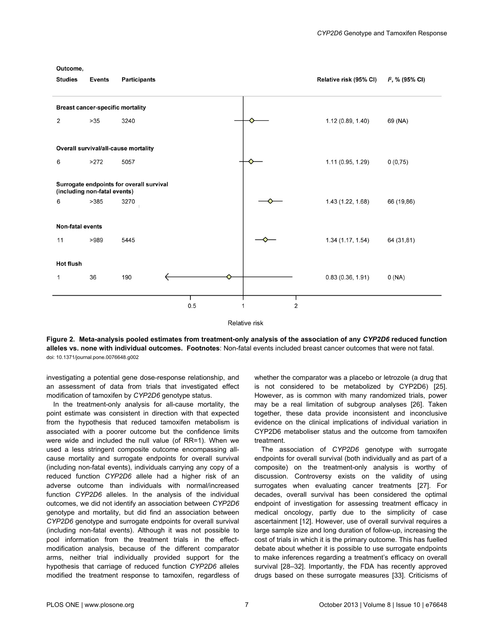#### <span id="page-6-0"></span>Outcome,



**Relative risk** 

**Figure 2. Meta-analysis pooled estimates from treatment-only analysis of the association of any** *CYP2D6* **reduced function alleles vs. none with individual outcomes. Footnotes**: Non-fatal events included breast cancer outcomes that were not fatal. doi: 10.1371/journal.pone.0076648.g002

investigating a potential gene dose-response relationship, and an assessment of data from trials that investigated effect modification of tamoxifen by *CYP2D6* genotype status.

In the treatment-only analysis for all-cause mortality, the point estimate was consistent in direction with that expected from the hypothesis that reduced tamoxifen metabolism is associated with a poorer outcome but the confidence limits were wide and included the null value (of RR=1). When we used a less stringent composite outcome encompassing allcause mortality and surrogate endpoints for overall survival (including non-fatal events), individuals carrying any copy of a reduced function *CYP2D6* allele had a higher risk of an adverse outcome than individuals with normal/increased function *CYP2D6* alleles. In the analysis of the individual outcomes, we did not identify an association between *CYP2D6* genotype and mortality, but did find an association between *CYP2D6* genotype and surrogate endpoints for overall survival (including non-fatal events). Although it was not possible to pool information from the treatment trials in the effectmodification analysis, because of the different comparator arms, neither trial individually provided support for the hypothesis that carriage of reduced function *CYP2D6* alleles modified the treatment response to tamoxifen, regardless of

whether the comparator was a placebo or letrozole (a drug that is not considered to be metabolized by CYP2D6) [\[25\]](#page-10-0). However, as is common with many randomized trials, power may be a real limitation of subgroup analyses [[26](#page-10-0)]. Taken together, these data provide inconsistent and inconclusive evidence on the clinical implications of individual variation in CYP2D6 metaboliser status and the outcome from tamoxifen treatment.

The association of *CYP2D6* genotype with surrogate endpoints for overall survival (both individually and as part of a composite) on the treatment-only analysis is worthy of discussion. Controversy exists on the validity of using surrogates when evaluating cancer treatments [\[27](#page-10-0)]. For decades, overall survival has been considered the optimal endpoint of investigation for assessing treatment efficacy in medical oncology, partly due to the simplicity of case ascertainment [\[12\]](#page-9-0). However, use of overall survival requires a large sample size and long duration of follow-up, increasing the cost of trials in which it is the primary outcome. This has fuelled debate about whether it is possible to use surrogate endpoints to make inferences regarding a treatment's efficacy on overall survival [[28](#page-10-0)–[32](#page-10-0)]. Importantly, the FDA has recently approved drugs based on these surrogate measures [[33](#page-10-0)]. Criticisms of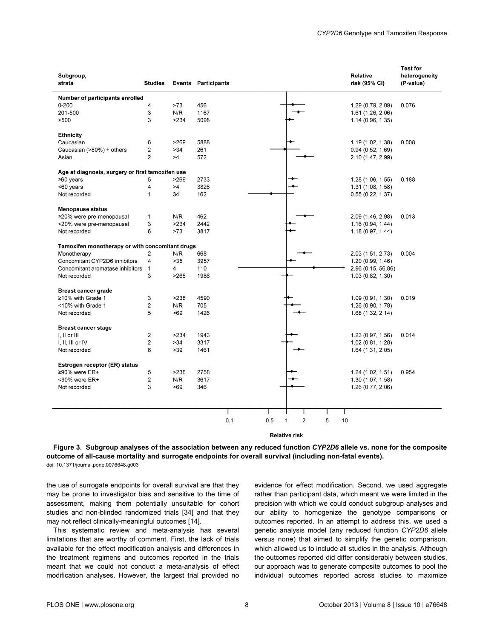<span id="page-7-0"></span>

| Subgroup,<br>strata                              | <b>Studies</b> |      | <b>Events Participants</b> |            |        |         | <b>Relative</b><br>risk (95% CI) | Test for<br>heterogeneity<br>(P-value) |
|--------------------------------------------------|----------------|------|----------------------------|------------|--------|---------|----------------------------------|----------------------------------------|
| Number of participants enrolled                  |                |      |                            |            |        |         |                                  |                                        |
| $0 - 200$                                        | 4              | >73  | 456                        |            |        |         | 1.29 (0.79, 2.09)                | 0.076                                  |
| 201-500                                          | 3              | N/R  | 1167                       |            |        |         | 1.61 (1.26, 2.06)                |                                        |
| >500                                             | 3              | >234 | 5098                       |            |        |         | 1.14(0.96, 1.35)                 |                                        |
| <b>Ethnicity</b>                                 |                |      |                            |            |        |         |                                  |                                        |
| Caucasian                                        | 6              | >269 | 5888                       |            |        |         | 1.19 (1.02, 1.38)                | 0.008                                  |
| Caucasian (>80%) + others                        | 2              | >34  | 261                        |            |        |         | 0.94(0.52, 1.69)                 |                                        |
| Asian                                            | 2              | >4   | 572                        |            |        |         | 2.10 (1.47, 2.99)                |                                        |
| Age at diagnosis, surgery or first tamoxifen use |                |      |                            |            |        |         |                                  |                                        |
| $≥60$ years                                      | 5              | >269 | 2733                       |            |        |         | 1.28(1.06, 1.55)                 | 0.188                                  |
| <60 years                                        | 4              | >4   | 3826                       |            |        |         | 1.31 (1.08, 1.58)                |                                        |
| Not recorded                                     | 1              | 34   | 162                        |            |        |         | 0.55(0.22, 1.37)                 |                                        |
| <b>Menopause status</b>                          |                |      |                            |            |        |         |                                  |                                        |
| ≥20% were pre-menopausal                         | 1              | N/R  | 462                        |            |        |         | 2.09 (1.46, 2.98)                | 0.013                                  |
| <20% were pre-menopausal                         | 3              | >234 | 2442                       |            |        |         | 1.16(0.94, 1.44)                 |                                        |
| Not recorded                                     | 6              | >73  | 3817                       |            |        |         | 1.18(0.97, 1.44)                 |                                        |
| Tamoxifen monotherapy or with concomitant drugs  |                |      |                            |            |        |         |                                  |                                        |
| Monotherapy                                      | 2              | N/R  | 668                        |            |        |         | 2.03 (1.51, 2.73)                | 0.004                                  |
| Concomitant CYP2D6 inhibitors                    | 4              | >35  | 3957                       |            |        |         | 1.20(0.99, 1.46)                 |                                        |
| Concomitant aromatase inhibitors                 | $\mathbf{1}$   | 4    | 110                        |            |        |         | 2.96 (0.15, 56.86)               |                                        |
| Not recorded                                     | 3              | >268 | 1986                       |            |        |         | 1.03 (0.82, 1.30)                |                                        |
| <b>Breast cancer grade</b>                       |                |      |                            |            |        |         |                                  |                                        |
| $\geq$ 10% with Grade 1                          | 3              | >238 | 4590                       |            |        |         | 1.09 (0.91, 1.30)                | 0.019                                  |
| <10% with Grade 1                                | $\overline{2}$ | N/R  | 705                        |            |        |         | 1.26 (0.90, 1.78)                |                                        |
| Not recorded                                     | 5              | >69  | 1426                       |            |        |         | 1.68 (1.32, 2.14)                |                                        |
| <b>Breast cancer stage</b>                       |                |      |                            |            |        |         |                                  |                                        |
| I, II or III                                     | 2              | >234 | 1943                       |            |        |         | 1.23 (0.97, 1.56)                | 0.014                                  |
| $I, II, III$ or $IV$                             | 2              | >34  | 3317                       |            |        |         | 1.02 (0.81, 1.28)                |                                        |
| Not recorded                                     | 6              | >39  | 1461                       |            |        |         | 1.64 (1.31, 2.05)                |                                        |
| Estrogen receptor (ER) status                    |                |      |                            |            |        |         |                                  |                                        |
| ≥90% were ER+                                    | 5              | >238 | 2758                       |            |        |         | 1.24(1.02, 1.51)                 | 0.954                                  |
| <90% were ER+                                    | 2              | N/R  | 3617                       |            |        |         | 1.30(1.07, 1.58)                 |                                        |
| Not recorded                                     | 3              | >69  | 346                        |            |        |         | 1.26 (0.77, 2.06)                |                                        |
|                                                  |                |      |                            |            |        |         |                                  |                                        |
|                                                  |                |      |                            |            |        |         |                                  |                                        |
|                                                  |                |      |                            | 0.5<br>0.1 | 2<br>1 | 5<br>10 |                                  |                                        |
|                                                  |                |      |                            |            |        |         |                                  |                                        |

**Relative risk** 

**Figure 3. Subgroup analyses of the association between any reduced function** *CYP2D6* **allele vs. none for the composite outcome of all-cause mortality and surrogate endpoints for overall survival (including non-fatal events).** doi: 10.1371/journal.pone.0076648.g003

the use of surrogate endpoints for overall survival are that they may be prone to investigator bias and sensitive to the time of assessment, making them potentially unsuitable for cohort studies and non-blinded randomized trials [\[34\]](#page-10-0) and that they may not reflect clinically-meaningful outcomes [[14](#page-10-0)].

This systematic review and meta-analysis has several limitations that are worthy of comment. First, the lack of trials available for the effect modification analysis and differences in the treatment regimens and outcomes reported in the trials meant that we could not conduct a meta-analysis of effect modification analyses. However, the largest trial provided no

evidence for effect modification. Second, we used aggregate rather than participant data, which meant we were limited in the precision with which we could conduct subgroup analyses and our ability to homogenize the genotype comparisons or outcomes reported. In an attempt to address this, we used a genetic analysis model (any reduced function *CYP2D6* allele versus none) that aimed to simplify the genetic comparison, which allowed us to include all studies in the analysis. Although the outcomes reported did differ considerably between studies, our approach was to generate composite outcomes to pool the individual outcomes reported across studies to maximize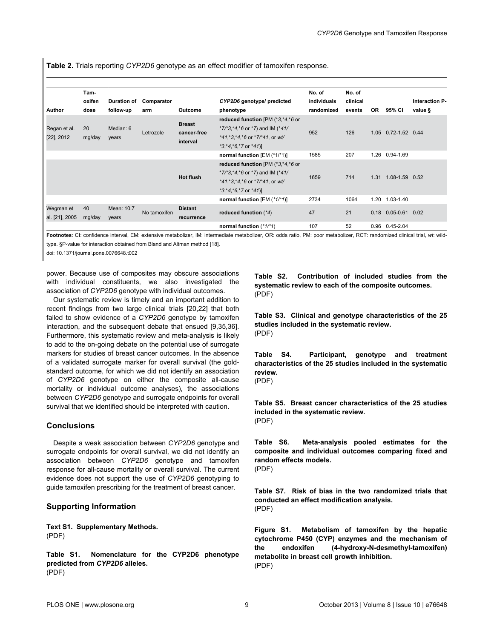<span id="page-8-0"></span>**Table 2.** Trials reporting *CYP2D6* genotype as an effect modifier of tamoxifen response.

|                | Tam-   |            |                             |                  |                                         | No. of      | No. of   |      |                    |                       |
|----------------|--------|------------|-----------------------------|------------------|-----------------------------------------|-------------|----------|------|--------------------|-----------------------|
|                | oxifen |            | Duration of Comparator      |                  | CYP2D6 genotype/ predicted              | individuals | clinical |      |                    | <b>Interaction P-</b> |
| Author         | dose   | follow-up  | arm                         | Outcome          | phenotype                               | randomized  | events   | OR.  | 95% CI             | value §               |
|                |        |            |                             | <b>Breast</b>    | reduced function [PM $(*3, *4, *6)$ or  |             |          |      |                    |                       |
| Regan et al.   | 20     | Median: 6  | Letrozole                   | cancer-free      | $*7/*3,*4,*6$ or $*7$ ) and IM ( $*41/$ | 952         | 126      | 1.05 | $0.72 - 1.52$ 0.44 |                       |
| [22], 2012     | mg/day | years      |                             | interval         | $*41.*3.*4.*6$ or $*7/*41$ , or wt/     |             |          |      |                    |                       |
|                |        |            | $*3, *4, *6, *7$ or $*41$ ] |                  |                                         |             |          |      |                    |                       |
|                |        |            |                             |                  | normal function [EM (*1/*1)]            | 1585        | 207      | 1.26 | 0.94-1.69          |                       |
|                |        |            |                             |                  | reduced function [PM $(*3, *4, *6)$ or  |             |          |      |                    |                       |
|                |        |            |                             | <b>Hot flush</b> | $*7/*3.*4.*6$ or $*7$ ) and IM ( $*41/$ | 1659        | 714      | 1.31 | 1.08-1.59 0.52     |                       |
|                |        |            |                             |                  | $*41.*3.*4.*6$ or $*7/*41$ , or wt/     |             |          |      |                    |                       |
|                |        |            |                             |                  | $*3, *4, *6, *7$ or $*41$ ]             |             |          |      |                    |                       |
|                |        |            |                             |                  | normal function $[EM (*1/*1)]$          | 2734        | 1064     | 1.20 | 1.03-1.40          |                       |
| Wegman et      | 40     | Mean: 10.7 | No tamoxifen                | <b>Distant</b>   | reduced function $(*4)$                 | 47          | 21       | 0.18 | $0.05 - 0.61$ 0.02 |                       |
| al. [21], 2005 | mg/day | years      |                             | recurrence       |                                         |             |          |      |                    |                       |
|                |        |            |                             |                  | normal function (*1/*1)                 | 107         | 52       | 0.96 | $0.45 - 2.04$      |                       |

**Footnotes**: CI: confidence interval, EM: extensive metabolizer, IM: intermediate metabolizer, OR: odds ratio, PM: poor metabolizer, RCT: randomized clinical trial, *wt*: wildtype. §P-value for interaction obtained from Bland and Altman method [\[18](#page-10-0)].

doi: 10.1371/journal.pone.0076648.t002

power. Because use of composites may obscure associations with individual constituents, we also investigated the association of *CYP2D6* genotype with individual outcomes.

Our systematic review is timely and an important addition to recent findings from two large clinical trials [\[20](#page-10-0),[22](#page-10-0)] that both failed to show evidence of a *CYP2D6* genotype by tamoxifen interaction, and the subsequent debate that ensued [\[9](#page-9-0),[35,36\]](#page-10-0). Furthermore, this systematic review and meta-analysis is likely to add to the on-going debate on the potential use of surrogate markers for studies of breast cancer outcomes. In the absence of a validated surrogate marker for overall survival (the goldstandard outcome, for which we did not identify an association of *CYP2D6* genotype on either the composite all-cause mortality or individual outcome analyses), the associations between *CYP2D6* genotype and surrogate endpoints for overall survival that we identified should be interpreted with caution.

## **Conclusions**

Despite a weak association between *CYP2D6* genotype and surrogate endpoints for overall survival, we did not identify an association between *CYP2D6* genotype and tamoxifen response for all-cause mortality or overall survival. The current evidence does not support the use of *CYP2D6* genotyping to guide tamoxifen prescribing for the treatment of breast cancer.

#### **Supporting Information**

**Text S1. Supplementary Methods.** (PDF)

**Table S1. Nomenclature for the CYP2D6 phenotype predicted from** *CYP2D6* **alleles.** (PDF)

**Table S2. Contribution of included studies from the systematic review to each of the composite outcomes.** (PDF)

**Table S3. Clinical and genotype characteristics of the 25 studies included in the systematic review.** (PDF)

**Table S4. Participant, genotype and treatment characteristics of the 25 studies included in the systematic review.** (PDF)

**Table S5. Breast cancer characteristics of the 25 studies included in the systematic review.** (PDF)

**Table S6. Meta-analysis pooled estimates for the composite and individual outcomes comparing fixed and random effects models.** (PDF)

**Table S7. Risk of bias in the two randomized trials that conducted an effect modification analysis.** (PDF)

**Figure S1. Metabolism of tamoxifen by the hepatic cytochrome P450 (CYP) enzymes and the mechanism of the endoxifen (4-hydroxy-N-desmethyl-tamoxifen) metabolite in breast cell growth inhibition.** (PDF)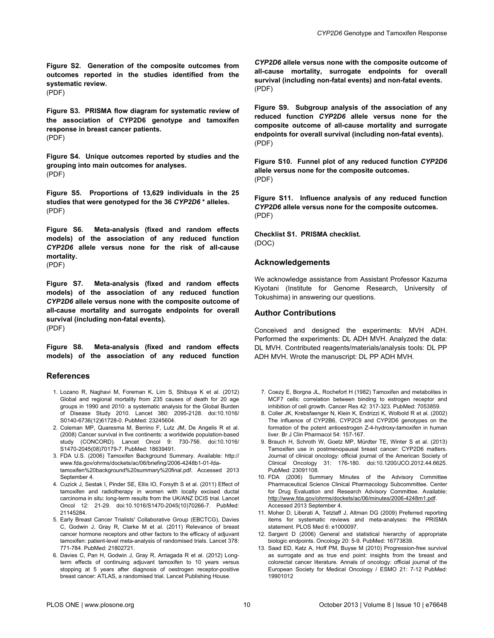<span id="page-9-0"></span>**Figure S2. Generation of the composite outcomes from outcomes reported in the studies identified from the systematic review.**

(PDF)

**Figure S3. PRISMA flow diagram for systematic review of the association of CYP2D6 genotype and tamoxifen response in breast cancer patients.** (PDF)

**Figure S4. Unique outcomes reported by studies and the grouping into main outcomes for analyses.** (PDF)

**Figure S5. Proportions of 13,629 individuals in the 25 studies that were genotyped for the 36** *CYP2D6* **\* alleles.** (PDF)

**Figure S6. Meta-analysis (fixed and random effects models) of the association of any reduced function** *CYP2D6* **allele versus none for the risk of all-cause mortality.**

(PDF)

**Figure S7. Meta-analysis (fixed and random effects models) of the association of any reduced function** *CYP2D6* **allele versus none with the composite outcome of all-cause mortality and surrogate endpoints for overall survival (including non-fatal events).** (PDF)

**Figure S8. Meta-analysis (fixed and random effects models) of the association of any reduced function**

#### **References**

- 1. Lozano R, Naghavi M, Foreman K, Lim S, Shibuya K et al. (2012) Global and regional mortality from 235 causes of death for 20 age groups in 1990 and 2010: a systematic analysis for the Global Burden of Disease Study 2010. Lancet 380: 2095-2128. doi[:10.1016/](http://dx.doi.org/10.1016/S0140-6736(12)61728-0) [S0140-6736\(12\)61728-0.](http://dx.doi.org/10.1016/S0140-6736(12)61728-0) PubMed: [23245604.](http://www.ncbi.nlm.nih.gov/pubmed/23245604)
- 2. Coleman MP, Quaresma M, Berrino F, Lutz JM, De Angelis R et al. (2008) Cancer survival in five continents: a worldwide population-based study (CONCORD). Lancet Oncol 9: 730-756. doi[:10.1016/](http://dx.doi.org/10.1016/S1470-2045(08)70179-7) [S1470-2045\(08\)70179-7.](http://dx.doi.org/10.1016/S1470-2045(08)70179-7) PubMed: [18639491.](http://www.ncbi.nlm.nih.gov/pubmed/18639491)
- 3. FDA U.S. (2006) Tamoxifen Background Summary. Available: [http://](http://www.fda.gov/ohrms/dockets/ac/06/briefing/2006-4248b1-01-fda-tamoxifen%20background%20summary%20final.pdf) [www.fda.gov/ohrms/dockets/ac/06/briefing/2006-4248b1-01-fda](http://www.fda.gov/ohrms/dockets/ac/06/briefing/2006-4248b1-01-fda-tamoxifen%20background%20summary%20final.pdf)[tamoxifen%20background%20summary%20final.pdf.](http://www.fda.gov/ohrms/dockets/ac/06/briefing/2006-4248b1-01-fda-tamoxifen%20background%20summary%20final.pdf) Accessed 2013 September 4
- 4. Cuzick J, Sestak I, Pinder SE, Ellis IO, Forsyth S et al. (2011) Effect of tamoxifen and radiotherapy in women with locally excised ductal carcinoma in situ: long-term results from the UK/ANZ DCIS trial. Lancet Oncol 12: 21-29. doi:[10.1016/S1470-2045\(10\)70266-7](http://dx.doi.org/10.1016/S1470-2045(10)70266-7). PubMed: [21145284.](http://www.ncbi.nlm.nih.gov/pubmed/21145284)
- 5. Early Breast Cancer Trialists' Collaborative Group (EBCTCG), Davies C, Godwin J, Gray R, Clarke M et al. (2011) Relevance of breast cancer hormone receptors and other factors to the efficacy of adjuvant tamoxifen: patient-level meta-analysis of randomised trials. Lancet 378: 771-784. PubMed: [21802721](http://www.ncbi.nlm.nih.gov/pubmed/21802721).
- 6. Davies C, Pan H, Godwin J, Gray R, Arriagada R et al. (2012) Longterm effects of continuing adjuvant tamoxifen to 10 years versus stopping at 5 years after diagnosis of oestrogen receptor-positive breast cancer: ATLAS, a randomised trial. Lancet Publishing House.

*CYP2D6* **allele versus none with the composite outcome of all-cause mortality, surrogate endpoints for overall survival (including non-fatal events) and non-fatal events.** (PDF)

**Figure S9. Subgroup analysis of the association of any reduced function** *CYP2D6* **allele versus none for the composite outcome of all-cause mortality and surrogate endpoints for overall survival (including non-fatal events).** (PDF)

**Figure S10. Funnel plot of any reduced function** *CYP2D6* **allele versus none for the composite outcomes.** (PDF)

**Figure S11. Influence analysis of any reduced function** *CYP2D6* **allele versus none for the composite outcomes.** (PDF)

**Checklist S1. PRISMA checklist.** (DOC)

#### **Acknowledgements**

We acknowledge assistance from Assistant Professor Kazuma Kiyotani (Institute for Genome Research, University of Tokushima) in answering our questions.

#### **Author Contributions**

Conceived and designed the experiments: MVH ADH. Performed the experiments: DL ADH MVH. Analyzed the data: DL MVH. Contributed reagents/materials/analysis tools: DL PP ADH MVH. Wrote the manuscript: DL PP ADH MVH.

- 7. Coezy E, Borgna JL, Rochefort H (1982) Tamoxifen and metabolites in MCF7 cells: correlation between binding to estrogen receptor and inhibition of cell growth. Cancer Res 42: 317-323. PubMed: [7053859.](http://www.ncbi.nlm.nih.gov/pubmed/7053859)
- 8. Coller JK, Krebsfaenger N, Klein K, Endrizzi K, Wolbold R et al. (2002) The influence of CYP2B6, CYP2C9 and CYP2D6 genotypes on the formation of the potent antioestrogen Z-4-hydroxy-tamoxifen in human liver. Br J Clin Pharmacol 54: 157-167.
- 9. Brauch H, Schroth W, Goetz MP, Mürdter TE, Winter S et al. (2013) Tamoxifen use in postmenopausal breast cancer: CYP2D6 matters. Journal of clinical oncology: official journal of the American Society of Clinical Oncology 31: 176-180. doi[:10.1200/JCO.2012.44.6625](http://dx.doi.org/10.1200/JCO.2012.44.6625). PubMed: [23091108.](http://www.ncbi.nlm.nih.gov/pubmed/23091108)
- 10. FDA (2006) Summary Minutes of the Advisory Committee Pharmaceutical Science Clinical Pharmacology Subcommittee. Center for Drug Evaluation and Research Advisory Committee. Available: [http://www.fda.gov/ohrms/dockets/ac/06/minutes/2006-4248m1.pdf.](http://www.fda.gov/ohrms/dockets/ac/06/minutes/2006-4248m1.pdf) Accessed 2013 September 4.
- 11. Moher D, Liberati A, Tetzlaff J, Altman DG (2009) Preferred reporting items for systematic reviews and meta-analyses: the PRISMA statement. PLOS Med 6: e1000097.
- 12. Sargent D (2006) General and statistical hierarchy of appropriate biologic endpoints. Oncology 20: 5-9. PubMed: [16773839.](http://www.ncbi.nlm.nih.gov/pubmed/16773839)
- 13. Saad ED, Katz A, Hoff PM, Buyse M (2010) Progression-free survival as surrogate and as true end point: insights from the breast and colorectal cancer literature. Annals of oncology: official journal of the European Society for Medical Oncology / ESMO 21: 7-12 PubMed: 19901012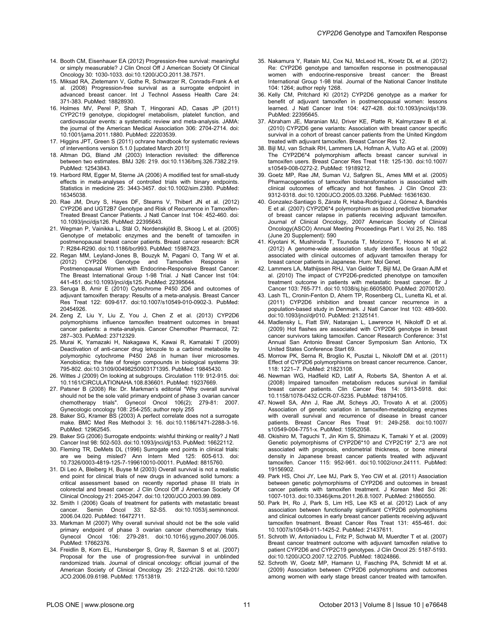- <span id="page-10-0"></span>14. Booth CM, Eisenhauer EA (2012) Progression-free survival: meaningful or simply measurable? J Clin Oncol Off J American Society Of Clinical Oncology 30: 1030-1033. doi[:10.1200/JCO.2011.38.7571](http://dx.doi.org/10.1200/JCO.2011.38.7571).
- 15. Miksad RA, Zietemann V, Gothe R, Schwarzer R, Conrads-Frank A et al. (2008) Progression-free survival as a surrogate endpoint in advanced breast cancer. Int J Technol Assess Health Care 24: 371-383. PubMed: [18828930](http://www.ncbi.nlm.nih.gov/pubmed/18828930).
- 16. Holmes MV, Perel P, Shah T, Hingorani AD, Casas JP (2011) CYP2C19 genotype, clopidogrel metabolism, platelet function, and cardiovascular events: a systematic review and meta-analysis. JAMA: the journal of the American Medical Association 306: 2704-2714. doi: [10.1001/jama.2011.1880](http://dx.doi.org/10.1001/jama.2011.1880). PubMed: [22203539](http://www.ncbi.nlm.nih.gov/pubmed/22203539).
- 17. Higgins JPT, Green S (2011) ochrane handbook for systematic reviews of interventions version 5.1.0 [updated March 2011]
- 18. Altman DG, Bland JM (2003) Interaction revisited: the difference between two estimates. BMJ 326: 219. doi[:10.1136/bmj.326.7382.219.](http://dx.doi.org/10.1136/bmj.326.7382.219) PubMed: [12543843.](http://www.ncbi.nlm.nih.gov/pubmed/12543843)
- 19. Harbord RM, Egger M, Sterne JA (2006) A modified test for small-study effects in meta-analyses of controlled trials with binary endpoints. Statistics in medicine 25: 3443-3457. doi:[10.1002/sim.2380](http://dx.doi.org/10.1002/sim.2380). PubMed: [16345038.](http://www.ncbi.nlm.nih.gov/pubmed/16345038)
- 20. Rae JM, Drury S, Hayes DF, Stearns V, Thibert JN et al. (2012) CYP2D6 and UGT2B7 Genotype and Risk of Recurrence in Tamoxifen-Treated Breast Cancer Patients. J Natl Cancer Inst 104: 452-460. doi: [10.1093/jnci/djs126.](http://dx.doi.org/10.1093/jnci/djs126) PubMed: [22395643.](http://www.ncbi.nlm.nih.gov/pubmed/22395643)
- 21. Wegman P, Vainikka L, Stål O, Nordenskjöld B, Skoog L et al. (2005) Genotype of metabolic enzymes and the benefit of tamoxifen in postmenopausal breast cancer patients. Breast cancer research: BCR 7: R284-R290. doi[:10.1186/bcr993](http://dx.doi.org/10.1186/bcr993). PubMed: [15987423](http://www.ncbi.nlm.nih.gov/pubmed/15987423).
- 22. Regan MM, Leyland-Jones B, Bouzyk M, Pagani O, Tang W et al. (2012) CYP2D6 Genotype and Tamoxifen Response in Postmenopausal Women with Endocrine-Responsive Breast Cancer: The Breast International Group 1-98 Trial. J Natl Cancer Inst 104: 441-451. doi[:10.1093/jnci/djs125.](http://dx.doi.org/10.1093/jnci/djs125) PubMed: [22395644.](http://www.ncbi.nlm.nih.gov/pubmed/22395644)
- 23. Seruga B, Amir E (2010) Cytochrome P450 2D6 and outcomes of adjuvant tamoxifen therapy: Results of a meta-analysis. Breast Cancer Res Treat 122: 609-617. doi:[10.1007/s10549-010-0902-3](http://dx.doi.org/10.1007/s10549-010-0902-3). PubMed: [20454926.](http://www.ncbi.nlm.nih.gov/pubmed/20454926)
- 24. Zeng Z, Liu Y, Liu Z, You J, Chen Z et al. (2013) CYP2D6 polymorphisms influence tamoxifen treatment outcomes in breast cancer patients: a meta-analysis. Cancer Chemother Pharmacol, 72: 287–303. PubMed: [23712329.](http://www.ncbi.nlm.nih.gov/pubmed/23712329)
- 25. Murai K, Yamazaki H, Nakagawa K, Kawai R, Kamataki T (2009) Deactivation of anti-cancer drug letrozole to a carbinol metabolite by polymorphic cytochrome P450 2A6 in human liver microsomes. Xenobiotica; the fate of foreign compounds in biological systems 39: 795-802. doi[:10.3109/00498250903171395.](http://dx.doi.org/10.3109/00498250903171395) PubMed: [19845430.](http://www.ncbi.nlm.nih.gov/pubmed/19845430)
- 26. Wittes J (2009) On looking at subgroups. Circulation 119: 912-915. doi: [10.1161/CIRCULATIONAHA.108.836601.](http://dx.doi.org/10.1161/CIRCULATIONAHA.108.836601) PubMed: [19237669.](http://www.ncbi.nlm.nih.gov/pubmed/19237669)
- 27. Patsner B (2008) Re: Dr. Markman's editorial "Why overall survival should not be the sole valid primary endpoint of phase 3 ovarian cancer chemotherapy trials". Gynecol Oncol 106(2); 279-81: 2007. Gynecologic oncology 108: 254-255; author reply 255
- 28. Baker SG, Kramer BS (2003) A perfect correlate does not a surrogate make. BMC Med Res Methodol 3: 16. doi[:10.1186/1471-2288-3-16.](http://dx.doi.org/10.1186/1471-2288-3-16) PubMed: [12962545.](http://www.ncbi.nlm.nih.gov/pubmed/12962545)
- 29. Baker SG (2006) Surrogate endpoints: wishful thinking or reality? J Natl Cancer Inst 98: 502-503. doi:[10.1093/jnci/djj153](http://dx.doi.org/10.1093/jnci/djj153). PubMed: [16622112](http://www.ncbi.nlm.nih.gov/pubmed/16622112).
- 30. Fleming TR, DeMets DL (1996) Surrogate end points in clinical trials: are we being misled? Ann Intern Med 125: 605-613. doi: [10.7326/0003-4819-125-7-199610010-00011.](http://dx.doi.org/10.7326/0003-4819-125-7-199610010-00011) PubMed: [8815760.](http://www.ncbi.nlm.nih.gov/pubmed/8815760)
- 31. Di Leo A, Bleiberg H, Buyse M (2003) Overall survival is not a realistic end point for clinical trials of new drugs in advanced solid tumors: a critical assessment based on recently reported phase III trials in colorectal and breast cancer. J Clin Oncol Off J American Society Of Clinical Oncology 21: 2045-2047. doi:[10.1200/JCO.2003.99.089](http://dx.doi.org/10.1200/JCO.2003.99.089).
- 32. Smith I (2006) Goals of treatment for patients with metastatic breast cancer. Semin Oncol 33: S2-S5. doi[:10.1053/j.seminoncol.](http://dx.doi.org/10.1053/j.seminoncol.2006.04.020) [2006.04.020.](http://dx.doi.org/10.1053/j.seminoncol.2006.04.020) PubMed: [16472711.](http://www.ncbi.nlm.nih.gov/pubmed/16472711)
- 33. Markman M (2007) Why overall survival should not be the sole valid primary endpoint of phase 3 ovarian cancer chemotherapy trials. Gynecol Oncol 106: 279-281. doi[:10.1016/j.ygyno.2007.06.005.](http://dx.doi.org/10.1016/j.ygyno.2007.06.005) PubMed: [17662376.](http://www.ncbi.nlm.nih.gov/pubmed/17662376)
- 34. Freidlin B, Korn EL, Hunsberger S, Gray R, Saxman S et al. (2007) Proposal for the use of progression-free survival in unblinded randomized trials. Journal of clinical oncology: official journal of the American Society of Clinical Oncology 25: 2122-2126. doi[:10.1200/](http://dx.doi.org/10.1200/JCO.2006.09.6198) [JCO.2006.09.6198](http://dx.doi.org/10.1200/JCO.2006.09.6198). PubMed: [17513819](http://www.ncbi.nlm.nih.gov/pubmed/17513819).
- 35. Nakamura Y, Ratain MJ, Cox NJ, McLeod HL, Kroetz DL et al. (2012) Re: CYP2D6 genotype and tamoxifen response in postmenopausal women with endocrine-responsive breast cancer: the Breast International Group 1-98 trial. Journal of the National Cancer Institute 104: 1264; author reply 1268.
- 36. Kelly CM, Pritchard KI (2012) CYP2D6 genotype as a marker for benefit of adjuvant tamoxifen in postmenopausal women: lessons learned. J Natl Cancer Inst 104: 427-428. doi[:10.1093/jnci/djs139](http://dx.doi.org/10.1093/jnci/djs139). PubMed: [22395645.](http://www.ncbi.nlm.nih.gov/pubmed/22395645)
- 37. Abraham JE, Maranian MJ, Driver KE, Platte R, Kalmyrzaev B et al. (2010) CYP2D6 gene variants: Association with breast cancer specific survival in a cohort of breast cancer patients from the United Kingdom treated with adjuvant tamoxifen. Breast Cancer Res 12.
- 38. Bijl MJ, van Schaik RH, Lammers LA, Hofman A, Vulto AG et al. (2009) The CYP2D6\*4 polymorphism affects breast cancer survival in tamoxifen users. Breast Cancer Res Treat 118: 125-130. doi[:10.1007/](http://dx.doi.org/10.1007/s10549-008-0272-2) [s10549-008-0272-2.](http://dx.doi.org/10.1007/s10549-008-0272-2) PubMed: [19189212.](http://www.ncbi.nlm.nih.gov/pubmed/19189212)
- 39. Goetz MP, Rae JM, Suman VJ, Safgren SL, Ames MM et al. (2005) Pharmacogenetics of tamoxifen biotransformation is associated with clinical outcomes of efficacy and hot flashes. J Clin Oncol 23: 9312-9318. doi[:10.1200/JCO.2005.03.3266](http://dx.doi.org/10.1200/JCO.2005.03.3266). PubMed: [16361630](http://www.ncbi.nlm.nih.gov/pubmed/16361630).
- 40. Gonzalez-Santiago S, Zárate R, Haba-Rodríguez J, Gómez A, Bandrés E et al. (2007) CYP2D6\*4 polymorphism as blood predictive biomarker of breast cancer relapse in patients receiving adjuvant tamoxifen. Journal of Clinical Oncology, 2007 American Society of Clinical Oncology(ASCO) Annual Meeting Proceedings Part I. Vol 25, No. 18S (June 20 Supplement): 590
- 41. Kiyotani K, Mushiroda T, Tsunoda T, Morizono T, Hosono N et al. (2012) A genome-wide association study identifies locus at 10q22 associated with clinical outcomes of adjuvant tamoxifen therapy for breast cancer patients in Japanese. Hum: Mol Genet.
- 42. Lammers LA, Mathijssen RHJ, Van Gelder T, Bijl MJ, De Graan AJM et al. (2010) The impact of CYP2D6-predicted phenotype on tamoxifen treatment outcome in patients with metastatic breast cancer. Br J Cancer 103: 765-771. doi[:10.1038/sj.bjc.6605800.](http://dx.doi.org/10.1038/sj.bjc.6605800) PubMed: [20700120.](http://www.ncbi.nlm.nih.gov/pubmed/20700120)
- 43. Lash TL, Cronin-Fenton D, Ahern TP, Rosenberg CL, Lunetta KL et al. (2011) CYP2D6 inhibition and breast cancer recurrence in a population-based study in Denmark. J Natl Cancer Inst 103: 489-500. doi:[10.1093/jnci/djr010.](http://dx.doi.org/10.1093/jnci/djr010) PubMed: [21325141.](http://www.ncbi.nlm.nih.gov/pubmed/21325141)
- 44. Madlensky L, Flatt SW, Natarajan L, Lawrence H, Nikoloff D et al. (2009) Hot flashes are associated with CYP2D6 genotype in breast cancer survivors taking tamoxifen. Cancer Research Conference: 31st Annual San Antonio Breast Cancer Symposium San Antonio, TX United States Conference Start 69.
- 45. Morrow PK, Serna R, Broglio K, Pusztai L, Nikoloff DM et al. (2011) Effect of CYP2D6 polymorphisms on breast cancer recurrence. Cancer, 118: 1221–7. PubMed: [21823108](http://www.ncbi.nlm.nih.gov/pubmed/21823108).
- 46. Newman WG, Hadfield KD, Latif A, Roberts SA, Shenton A et al. (2008) Impaired tamoxifen metabolism reduces survival in familial breast cancer patients. Clin Cancer Res 14: 5913-5918. doi: [10.1158/1078-0432.CCR-07-5235](http://dx.doi.org/10.1158/1078-0432.CCR-07-5235). PubMed: [18794105](http://www.ncbi.nlm.nih.gov/pubmed/18794105).
- 47. Nowell SA, Ahn J, Rae JM, Scheys JO, Trovato A et al. (2005) Association of genetic variation in tamoxifen-metabolizing enzymes with overall survival and recurrence of disease in breast cancer patients. Breast Cancer Res Treat 91: 249-258. doi[:10.1007/](http://dx.doi.org/10.1007/s10549-004-7751-x) [s10549-004-7751-x](http://dx.doi.org/10.1007/s10549-004-7751-x). PubMed: [15952058](http://www.ncbi.nlm.nih.gov/pubmed/15952058).
- 48. Okishiro M, Taguchi T, Jin Kim S, Shimazu K, Tamaki Y et al. (2009) Genetic polymorphisms of CYP2D6\*10 and CYP2C19\* 2,\*3 are not associated with prognosis, endometrial thickness, or bone mineral density in Japanese breast cancer patients treated with adjuvant tamoxifen. Cancer 115: 952-961. doi[:10.1002/cncr.24111.](http://dx.doi.org/10.1002/cncr.24111) PubMed: [19156902.](http://www.ncbi.nlm.nih.gov/pubmed/19156902)
- 49. Park HS, Choi JY, Lee MJ, Park S, Yeo CW et al. (2011) Association between genetic polymorphisms of CYP2D6 and outcomes in breast cancer patients with tamoxifen treatment. J Korean Med Sci 26: 1007-1013. doi[:10.3346/jkms.2011.26.8.1007](http://dx.doi.org/10.3346/jkms.2011.26.8.1007). PubMed: [21860550](http://www.ncbi.nlm.nih.gov/pubmed/21860550).
- 50. Park IH, Ro J, Park S, Lim HS, Lee KS et al. (2012) Lack of any association between functionally significant CYP2D6 polymorphisms and clinical outcomes in early breast cancer patients receiving adjuvant tamoxifen treatment. Breast Cancer Res Treat 131: 455-461. doi: [10.1007/s10549-011-1425-2.](http://dx.doi.org/10.1007/s10549-011-1425-2) PubMed: [21437611.](http://www.ncbi.nlm.nih.gov/pubmed/21437611)
- 51. Schroth W, Antoniadou L, Fritz P, Schwab M, Muerdter T et al. (2007) Breast cancer treatment outcome with adjuvant tamoxifen relative to patient CYP2D6 and CYP2C19 genotypes. J Clin Oncol 25: 5187-5193. doi:[10.1200/JCO.2007.12.2705.](http://dx.doi.org/10.1200/JCO.2007.12.2705) PubMed: [18024866.](http://www.ncbi.nlm.nih.gov/pubmed/18024866)
- 52. Schroth W, Goetz MP, Hamann U, Fasching PA, Schmidt M et al. (2009) Association between CYP2D6 polymorphisms and outcomes among women with early stage breast cancer treated with tamoxifen.